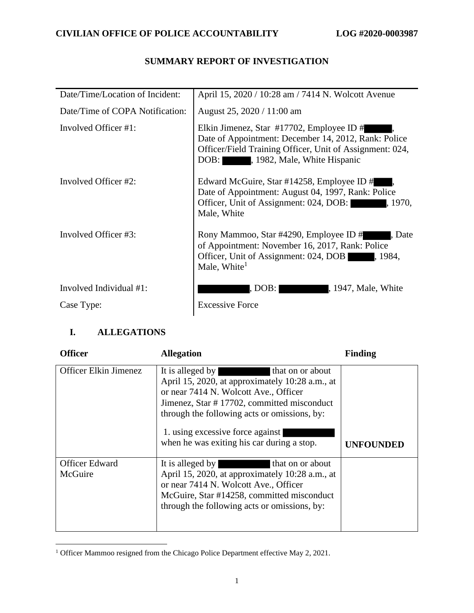# Date/Time/Location of Incident: April 15, 2020 / 10:28 am / 7414 N. Wolcott Avenue Date/Time of COPA Notification: August 25, 2020 / 11:00 am Involved Officer #1: Elkin Jimenez, Star #17702, Employee ID # Date of Appointment: December 14, 2012, Rank: Police Officer/Field Training Officer, Unit of Assignment: 024, DOB:  $\blacksquare$ , 1982, Male, White Hispanic Involved Officer #2: Involved Officer #3: Edward McGuire, Star  $\#14258$ , Employee ID  $\#$ , Date of Appointment: August 04, 1997, Rank: Police Officer, Unit of Assignment: 024, DOB:  $\blacksquare$ , 1970, Male, White Rony Mammoo, Star #4290, Employee ID # , Date of Appointment: November 16, 2017, Rank: Police Officer, Unit of Assignment: 024, DOB , 1984, Male, White $<sup>1</sup>$ </sup> Involved Individual #1:  $|$  , DOB: , 1947, Male, White Case Type: Excessive Force

## **SUMMARY REPORT OF INVESTIGATION**

## **I. ALLEGATIONS**

| <b>Officer</b>                   | <b>Allegation</b>                                                                                                                                                                                                                                                                                                | <b>Finding</b>   |
|----------------------------------|------------------------------------------------------------------------------------------------------------------------------------------------------------------------------------------------------------------------------------------------------------------------------------------------------------------|------------------|
| Officer Elkin Jimenez            | It is alleged by<br>that on or about<br>April 15, 2020, at approximately 10:28 a.m., at<br>or near 7414 N. Wolcott Ave., Officer<br>Jimenez, Star #17702, committed misconduct<br>through the following acts or omissions, by:<br>1. using excessive force against<br>when he was exiting his car during a stop. | <b>UNFOUNDED</b> |
| <b>Officer Edward</b><br>McGuire | It is alleged by<br>that on or about<br>April 15, 2020, at approximately 10:28 a.m., at<br>or near 7414 N. Wolcott Ave., Officer<br>McGuire, Star #14258, committed misconduct<br>through the following acts or omissions, by:                                                                                   |                  |

<sup>&</sup>lt;sup>1</sup> Officer Mammoo resigned from the Chicago Police Department effective May 2, 2021.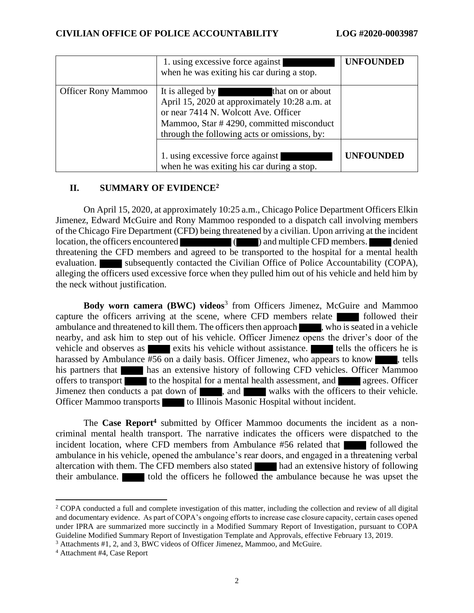|                            | 1. using excessive force against<br>when he was exiting his car during a stop.                                                                                                                                            | <b>UNFOUNDED</b> |
|----------------------------|---------------------------------------------------------------------------------------------------------------------------------------------------------------------------------------------------------------------------|------------------|
| <b>Officer Rony Mammoo</b> | It is alleged by<br>that on or about<br>April 15, 2020 at approximately 10:28 a.m. at<br>or near 7414 N. Wolcott Ave. Officer<br>Mammoo, Star #4290, committed misconduct<br>through the following acts or omissions, by: |                  |
|                            | 1. using excessive force against<br>when he was exiting his car during a stop.                                                                                                                                            | <b>UNFOUNDED</b> |

### **II. SUMMARY OF EVIDENCE<sup>2</sup>**

On April 15, 2020, at approximately 10:25 a.m., Chicago Police Department Officers Elkin Jimenez, Edward McGuire and Rony Mammoo responded to a dispatch call involving members of the Chicago Fire Department (CFD) being threatened by a civilian. Upon arriving at the incident location, the officers encountered ( ) and multiple CFD members. denied threatening the CFD members and agreed to be transported to the hospital for a mental health evaluation. Subsequently contacted the Civilian Office of Police Accountability (COPA), alleging the officers used excessive force when they pulled him out of his vehicle and held him by the neck without justification.

Body worn camera (BWC) videos<sup>3</sup> from Officers Jimenez, McGuire and Mammoo capture the officers arriving at the scene, where CFD members relate followed their ambulance and threatened to kill them. The officers then approach , who is seated in a vehicle nearby, and ask him to step out of his vehicle. Officer Jimenez opens the driver's door of the vehicle and observes as exits his vehicle without assistance. The tells the officers he is harassed by Ambulance #56 on a daily basis. Officer Jimenez, who appears to know  $\blacksquare$ , tells his partners that has an extensive history of following CFD vehicles. Officer Mammoo offers to transport to the hospital for a mental health assessment, and agrees. Officer Jimenez then conducts a pat down of , and walks with the officers to their vehicle. Officer Mammoo transports to Illinois Masonic Hospital without incident.

The **Case Report<sup>4</sup>** submitted by Officer Mammoo documents the incident as a noncriminal mental health transport. The narrative indicates the officers were dispatched to the incident location, where CFD members from Ambulance #56 related that followed the ambulance in his vehicle, opened the ambulance's rear doors, and engaged in a threatening verbal altercation with them. The CFD members also stated had an extensive history of following their ambulance. **the interest is to the officers** he followed the ambulance because he was upset the

<sup>&</sup>lt;sup>2</sup> COPA conducted a full and complete investigation of this matter, including the collection and review of all digital and documentary evidence. As part of COPA's ongoing efforts to increase case closure capacity, certain cases opened under IPRA are summarized more succinctly in a Modified Summary Report of Investigation, pursuant to COPA Guideline Modified Summary Report of Investigation Template and Approvals, effective February 13, 2019.

<sup>3</sup> Attachments #1, 2, and 3, BWC videos of Officer Jimenez, Mammoo, and McGuire.

<sup>4</sup> Attachment #4, Case Report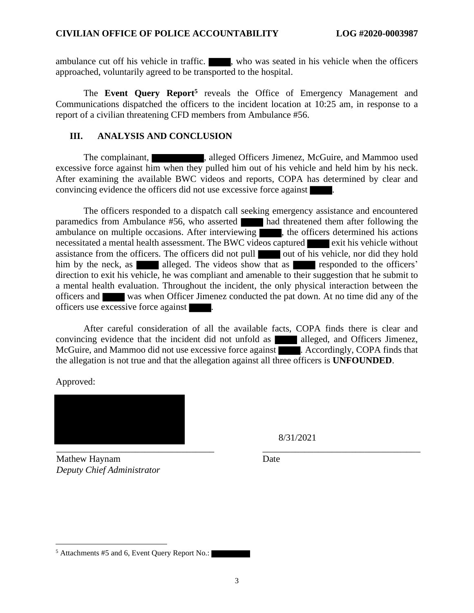ambulance cut off his vehicle in traffic.  $\blacksquare$ , who was seated in his vehicle when the officers approached, voluntarily agreed to be transported to the hospital.

The Event Query Report<sup>5</sup> reveals the Office of Emergency Management and Communications dispatched the officers to the incident location at 10:25 am, in response to a report of a civilian threatening CFD members from Ambulance #56.

#### **III. ANALYSIS AND CONCLUSION**

The complainant, alleged Officers Jimenez, McGuire, and Mammoo used excessive force against him when they pulled him out of his vehicle and held him by his neck. After examining the available BWC videos and reports, COPA has determined by clear and convincing evidence the officers did not use excessive force against

The officers responded to a dispatch call seeking emergency assistance and encountered paramedics from Ambulance #56, who asserted had threatened them after following the ambulance on multiple occasions. After interviewing , the officers determined his actions necessitated a mental health assessment. The BWC videos captured exit his vehicle without assistance from the officers. The officers did not pull out of his vehicle, nor did they hold him by the neck, as alleged. The videos show that as responded to the officers' direction to exit his vehicle, he was compliant and amenable to their suggestion that he submit to a mental health evaluation. Throughout the incident, the only physical interaction between the officers and was when Officer Jimenez conducted the pat down. At no time did any of the officers use excessive force against .

After careful consideration of all the available facts, COPA finds there is clear and convincing evidence that the incident did not unfold as alleged, and Officers Jimenez, McGuire, and Mammoo did not use excessive force against **Accordingly**, COPA finds that the allegation is not true and that the allegation against all three officers is **UNFOUNDED**.

Approved:



8/31/2021

Mathew Haynam *Deputy Chief Administrator* Date

<sup>5</sup> Attachments #5 and 6, Event Query Report No.: